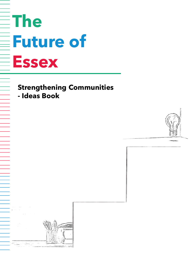# **The Future of Essex**

## **Strengthening Communities**

**- Ideas Book**



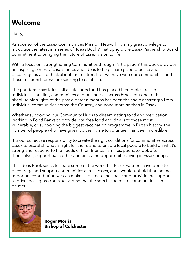#### **Welcome**

Hello,

As sponsor of the Essex Communities Mission Network, it is my great privilege to introduce the latest in a series of 'Ideas Books' that uphold the Essex Partnership Board commitment to bringing the Future of Essex vision to life.

With a focus on 'Strengthening Communities through Participation' this book provides an inspiring series of case studies and ideas to help share good practice and encourage us all to think about the relationships we have with our communities and those relationships we are seeking to establish.

The pandemic has left us all a little jaded and has placed incredible stress on individuals, families, communities and businesses across Essex, but one of the absolute highlights of the past eighteen months has been the show of strength from individual communities across the Country, and none more so than in Essex.

Whether supporting our Community Hubs to disseminating food and medication, working in Food Banks to provide vital free food and drinks to those most vulnerable, or supporting the biggest vaccination programme in British history, the number of people who have given up their time to volunteer has been incredible.

It is our collective responsibility to create the right conditions for communities across Essex to establish what is right for them, and to enable local people to build on what's strong and respond to the needs of their friends, families, peers, to look after themselves, support each other and enjoy the opportunities living in Essex brings.

This Ideas Book seeks to share some of the work that Essex Partners have done to encourage and support communities across Essex, and I would uphold that the most important contribution we can make is to create the space and provide the support to drive local, grass roots activity, so that the specific needs of communities can be met.



**Roger Morris Bishop of Colchester**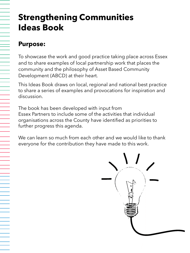# **Strengthening Communities Ideas Book**

#### **Purpose:**

To showcase the work and good practice taking place across Essex and to share examples of local partnership work that places the community and the philosophy of Asset Based Community Development (ABCD) at their heart.

This Ideas Book draws on local, regional and national best practice to share a series of examples and provocations for inspiration and discussion.

The book has been developed with input from Essex Partners to include some of the activities that individual organisations across the County have identified as priorities to further progress this agenda.

We can learn so much from each other and we would like to thank everyone for the contribution they have made to this work.

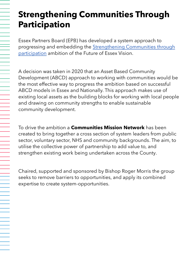# **Strengthening Communities Through Participation**

Essex Partners Board (EPB) has developed a system approach to [progressing and embedding the Strengthening Communities through](https://eur02.safelinks.protection.outlook.com/?url=https%3A%2F%2Fwww.essexfuture.org.uk%2Four-shared-vision%2Four-ambitions%2Fstrengthen-communities-through-participation%2F&data=04%7C01%7C%7C0e5d4224742b48b9b0b508d93b0277e7%7Ca8b4324f155c4215a0f17ed8cc9a992f%7C0%7C0%7C637605704054681840%7CUnknown%7CTWFpbGZsb3d8eyJWIjoiMC4wLjAwMDAiLCJQIjoiV2luMzIiLCJBTiI6Ik1haWwiLCJXVCI6Mn0%3D%7C1000&sdata=S%2BZxWqWtyEVB2DergdVg4p21c0mWiNSOV8i0Z3m2JGo%3D&reserved=0)  participation ambition of the Future of Essex Vision.

 $\equiv$ 

A decision was taken in 2020 that an Asset Based Community Development (ABCD) approach to working with communities would be the most effective way to progress the ambition based on successful ABCD models in Essex and Nationally. This approach makes use of existing local assets as the building blocks for working with local people and drawing on community strengths to enable sustainable community development.

To drive the ambition a **Communities Mission Network** has been created to bring together a cross section of system leaders from public sector, voluntary sector, NHS and community backgrounds. The aim, to utilise the collective power of partnership to add value to, and strengthen existing work being undertaken across the County.

Chaired, supported and sponsored by Bishop Roger Morris the group seeks to remove barriers to opportunities, and apply its combined expertise to create system-opportunities.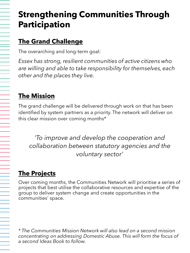# **Strengthening Communities Through Participation**

## **The Grand Challenge**

The overarching and long-term goal:

*Essex has strong, resilient communities of active citizens who are willing and able to take responsibility for themselves, each other and the places they live.*

## **The Mission**

The grand challenge will be delivered through work on that has been identified by system partners as a priority. The network will deliver on this clear mission over coming months\*

*'To improve and develop the cooperation and collaboration between statutory agencies and the voluntary sector'*

### **The Projects**

Over coming months, the Communities Network will prioritise a series of projects that best utilise the collaborative resources and expertise of the group to deliver system change and create opportunities in the communities' space.

*\* The Communities Mission Network will also lead on a second mission concentrating on addressing Domestic Abuse. This will form the focus of a second Ideas Book to follow.*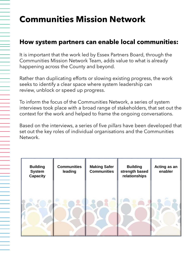# **Communities Mission Network**

#### **How system partners can enable local communities:**

It is important that the work led by Essex Partners Board, through the Communities Mission Network Team, adds value to what is already happening across the County and beyond.

Rather than duplicating efforts or slowing existing progress, the work seeks to identify a clear space where system leadership can review, unblock or speed up progress.

To inform the focus of the Communities Network, a series of system interviews took place with a broad range of stakeholders, that set out the context for the work and helped to frame the ongoing conversations.

Based on the interviews, a series of five *pillars* have been developed that set out the key roles of individual organisations and the Communities Network.

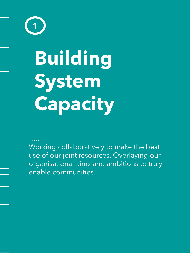**Building System Capacity 1**

Working collaboratively to make the best use of our joint resources. Overlaying our organisational aims and ambitions to truly enable communities.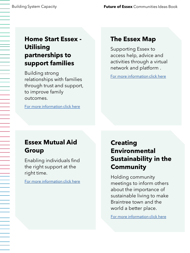#### **Home Start Essex - Utilising partnerships to support families**

Building strong relationships with families through trust and support, to improve family outcomes.

[For more information click here](https://home-startessex.org.uk/)

#### **The Essex Map**

Supporting Essex to access help, advice and activities through a virtual network and platform .

[For more information click here](https://www.essexmap.co.uk/)

### **Essex Mutual Aid Group**

Enabling individuals find the right support at the right time.

[For more information click here](https://www.mutual-aid.co.uk/area/essex)

#### **Creating Environmental Sustainability in the Community**

Holding community meetings to inform others about the importance of sustainable living to make Braintree town and the world a better place.

[For more information click here](https://sustainablebraintree.org/about/)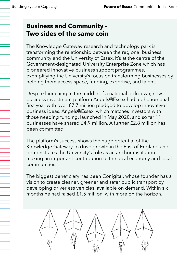#### **Business and Community - Two sides of the same coin**

The Knowledge Gateway research and technology park is transforming the relationship between the regional business community and the University of Essex. It's at the centre of the Government-designated University Enterprise Zone which has pioneered innovative business support programmes, exemplifying the University's focus on transforming businesses by helping them access space, funding, expertise, and talent.

Despite launching in the middle of a national lockdown, new business investment platform Angels@Essex had a phenomenal first year with over £7.7 million pledged to develop innovative business ideas. Angels@Essex, which matches investors with those needing funding, launched in May 2020, and so far 11 businesses have shared £4.9 million. A further £2.8 million has been committed.

The platform's success shows the huge potential of the Knowledge Gateway to drive growth in the East of England and demonstrates the University's role as an anchor institution making an important contribution to the local economy and local communities.

The biggest beneficiary has been Conigital, whose founder has a vision to create cleaner, greener and safer public transport by developing driverless vehicles, available on demand. Within six months he had raised £1.5 million, with more on the horizon.

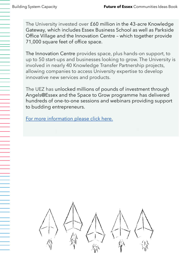The University invested over £60 million in the 43-acre Knowledge Gateway, which includes Essex Business School as well as Parkside Office Village and the Innovation Centre – which together provide 71,000 square feet of office space.

The Innovation Centre provides space, plus hands-on support, to up to 50 start-ups and businesses looking to grow. The University is involved in nearly 40 Knowledge Transfer Partnership projects, allowing companies to access University expertise to develop innovative new services and products.

The UEZ has unlocked millions of pounds of investment through Angels@Essex and the Space to Grow programme has delivered hundreds of one-to-one sessions and webinars providing support to budding entrepreneurs.

[For more information please click here.](https://www.essex.ac.uk/business/knowledge-gateway/university-enterprise-zone/angels-at-essex)

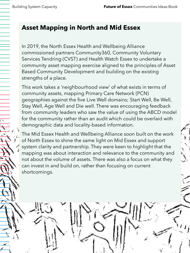#### **Asset Mapping in North and Mid Essex**

In 2019, the North Essex Health and Wellbeing Alliance commissioned partners Community360, Community Voluntary Services Tendring (CVST) and Health Watch Essex to undertake a community asset mapping exercise aligned to the principles of Asset Based Community Development and building on the existing strengths of a place.

This work takes a 'neighbourhood view' of what exists in terms of community assets, mapping Primary Care Network (PCN) geographies against the five Live Well domains; Start Well, Be Well, Stay Well, Age Well and Die well. There was encouraging feedback from community leaders who saw the value of using the ABCD model for the community rather than an audit which could be overlaid with demographic data and locality-based information.

The Mid Essex Health and Wellbeing Alliance soon built on the work of North Essex to shine the same light on Mid Essex and support system clarity and partnership. They were keen to highlight that the mapping was about interaction and relevance to the community and not about the volume of assets. There was also a focus on what they can invest in and build on, rather than focusing on current shortcomings.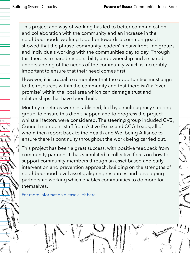This project and way of working has led to better communication and collaboration with the community and an increase in the neighbourhoods working together towards a common goal. It showed that the phrase 'community leaders' means front line groups and individuals working with the communities day to day. Through this there is a shared responsibility and ownership and a shared understanding of the needs of the community which is incredibly important to ensure that their need comes first.

However, it is crucial to remember that the opportunities must align to the resources within the community and that there isn't a 'over promise' within the local area which can damage trust and relationships that have been built.

Monthly meetings were established, led by a multi-agency steering group, to ensure this didn't happen and to progress the project whilst all factors were considered. The steering group included CVS', Council members, staff from Active Essex and CCG Leads, all of whom then report back to the Health and Wellbeing Alliance to ensure there is continuity throughout the work being carried out.

This project has been a great success, with positive feedback from community partners. It has stimulated a collective focus on how to support community members through an asset based and early intervention and prevention approach, building on the strengths of neighbourhood level assets, aligning resources and developing partnership working which enables communities to do more for themselves.

[For more information please click here.](https://www.community360.org.uk/the-community-asset-mapping-refresh-north-east-essex-2020/)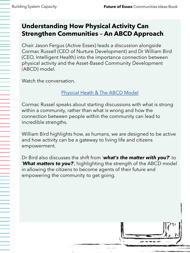#### **Understanding How Physical Activity Can Strengthen Communities – An ABCD Approach**

Chair Jason Fergus (Active Essex) leads a discussion alongside Cormac Russell (CEO of Nurture Development) and Dr William Bird (CEO, Intelligent Health) into the importance connection between physical activity and the Asset-Based Community Development (ABCD) model.

Watch the conversation.

#### [Physical Heath & The ABCD Model](https://eur02.safelinks.protection.outlook.com/?url=https%3A%2F%2Fvimeo.com%2F529455605%2F4ed359349f&data=04%7C01%7C%7Ce35f24698e60451f69dc08d93496a297%7Ca8b4324f155c4215a0f17ed8cc9a992f%7C0%7C0%7C637598643835970037%7CUnknown%7CTWFpbGZsb3d8eyJWIjoiMC4wLjAwMDAiLCJQIjoiV2luMzIiLCJBTiI6Ik1haWwiLCJXVCI6Mn0%3D%7C1000&sdata=xrnFqSIa%2FTLjZkdC9Mnhgiwue2G%2FU8LmVXoyFuPu0Ok%3D&reserved=0)

Cormac Russel speaks about starting discussions with what is strong within a community, rather than what is wrong and how the connection between people within the community can lead to incredible strengths.

William Bird highlights how, as humans, we are designed to be active and how activity can be a gateway to living life and citizens empowerment.

Dr Bird also discusses the shift from '*what's the matter with you?*' to '*What matters to you?*', highlighting the strength of the ABCD model in allowing the citizens to become agents of their future and empowering the community to get going.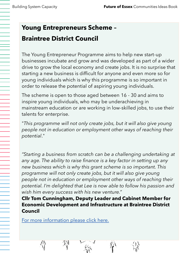#### **Young Entrepreneurs Scheme –**

### **Braintree District Council**

The Young Entrepreneur Programme aims to help new start-up businesses incubate and grow and was developed as part of a wider drive to grow the local economy and create jobs. It is no surprise that starting a new business is difficult for anyone and even more so for young individuals which is why this programme is so important in order to release the potential of aspiring young individuals.

The scheme is open to those aged between 16 - 30 and aims to inspire young individuals, who may be underachieving in mainstream education or are working in low-skilled jobs, to use their talents for enterprise.

"*This programme will not only create jobs, but it will also give young people not in education or employment other ways of reaching their potential*."

*"Starting a business from scratch can be a challenging undertaking at any age. The ability to raise finance is a key factor in setting up any new business which is why this grant scheme is so important. This programme will not only create jobs, but it will also give young people not in education or employment other ways of reaching their potential. I'm delighted that Lee is now able to follow his passion and wish him every success with his new venture."*

**Cllr Tom Cunningham, Deputy Leader and Cabinet Member for Economic Development and Infrastructure at Braintree District Council**

[For more information please click here.](https://www.braintree.gov.uk/news/article/268/young-entrepreneur-secures-top-grant-for-new-business-venture)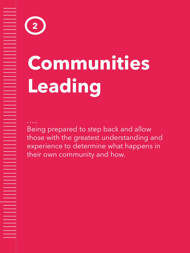# **Communities Leading**

**2**

Being prepared to step back and allow those with the greatest understanding and experience to determine what happens in their own community and how.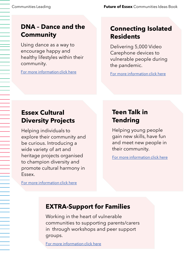#### **DNA – Dance and the Community**

Using dance as a way to encourage happy and healthy lifestyles within their community.

[For more information click here](https://cf9b0932-d6de-4d71-8fd0-d5be2718a14a.filesusr.com/ugd/806e01_2b467e519a604cd09d60ed04d1aa4268.pdf)

#### **Connecting Isolated Residents**

Delivering 5,000 Video Carephone devices to vulnerable people during the pandemic.

[For more information click here](https://rethinkpartners.co.uk/largest-and-fastest-roll-out-of-digital-care-technology-ever-kent-suffolk-essex-county-councils/)

#### **Essex Cultural Diversity Projects**

Helping individuals to explore their community and be curious. Introducing a wide variety of art and heritage projects organised to champion diversity and promote cultural harmony in Essex.

#### **Teen Talk in Tendring**

Helping young people gain new skills, have fun and meet new people in their community.

[For more information click here](http://teentalkharwich.co.uk/indexmain.php)

[For more information click here](https://essexcdp.com/projects/)

#### **EXTRA-Support for Families**

Working in the heart of vulnerable communities to supporting parents/carers in through workshops and peer support groups.

[For more information click here](https://www.extrasupportforfamilies.co.uk/)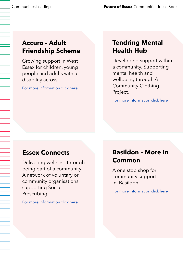#### **Accuro – Adult Friendship Scheme**

Growing support in West Essex for children, young people and adults with a disability across .

[For more information click here](https://www.accuro.org.uk/about-us/history-of-accuro/)

#### **Tendring Mental Health Hub**

Developing support within a community. Supporting mental health and wellbeing through A Community Clothing Project.

[For more information click here](https://www.essexfuture.org.uk/delivering-our-vision/enjoy-life-long-into-old-age/mental-health-hub/)

#### **Essex Connects**

Delivering wellness through being part of a community. A network of voluntary or community organisations supporting Social Prescribing.

[For more information click here](http://www.essexconnects.org.uk/)

#### **Basildon – More in Common**

A one stop shop for community support in Basildon.

[For more information click here](https://www.moreincommonbb.co.uk/)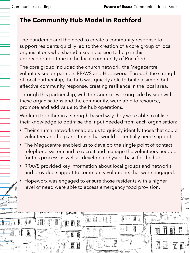## **The Community Hub Model in Rochford**

The pandemic and the need to create a community response to support residents quickly led to the creation of a core group of local organisations who shared a keen passion to help in this unprecedented time in the local community of Rochford.

The core group included the church network, the Megacentre, voluntary sector partners RRAVS and Hopeworx. Through the strength of local partnership, the hub was quickly able to build a simple but effective community response, creating resilience in the local area.

Through this partnership, with the Council, working side by side with these organisations and the community, were able to resource, promote and add value to the hub operations.

Working together in a strength-based way they were able to utilise their knowledge to optimise the input needed from each organisation:

- Their church networks enabled us to quickly identify those that could volunteer and help and those that would potentially need support
- The Megacentre enabled us to develop the single point of contact telephone system and to recruit and manage the volunteers needed for this process as well as develop a physical base for the hub.
- RRAVS provided key information about local groups and networks and provided support to community volunteers that were engaged.
- Hopeworx was engaged to ensure those residents with a higher level of need were able to access emergency food provision.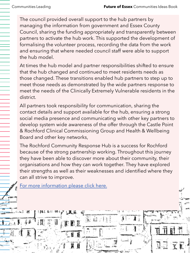The council provided overall support to the hub partners by managing the information from government and Essex County Council, sharing the funding appropriately and transparently between partners to activate the hub work. This supported the development of formalising the volunteer process, recording the data from the work and ensuring that where needed council staff were able to support the hub model.

At times the hub model and partner responsibilities shifted to ensure that the hub changed and continued to meet residents needs as those changed. These transitions enabled hub partners to step up to meet those needs as demonstrated by the wide partners response to meet the needs of the Clinically Extremely Vulnerable residents in the district.

All partners took responsibility for communication, sharing the contact details and support available for the hub, ensuring a strong social media presence and communicating with other key partners to develop system wide awareness of the offer through the Castle Point & Rochford Clinical Commissioning Group and Health & Wellbeing Board and other key networks,

The Rochford Community Response Hub is a success for Rochford because of the strong partnership working. Throughout this journey they have been able to discover more about their community, their organisations and how they can work together. They have explored their strengths as well as their weaknesses and identified where they can all strive to improve.

[For more information please click here.](https://www.rochford.gov.uk/rochford-district-community-response-hub)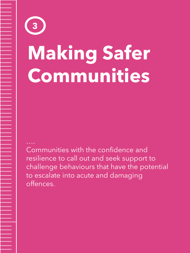# **Making Safer Communities 3**

Communities with the confidence and resilience to call out and seek support to challenge behaviours that have the potential to escalate into acute and damaging offences.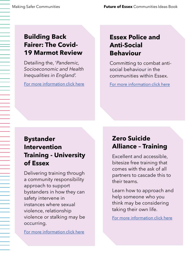#### **Building Back Fairer: The Covid-19 Marmot Review**

Detailing the, '*Pandemic, Socioeconomic and Health Inequalities in England'.*

[For more information click here](https://www.health.org.uk/sites/default/files/2020-12/Build-back-fairer--Exec-summary.pdf)

### **Essex Police and Anti-Social Behaviour**

Committing to combat antisocial behaviour in the communities within Essex.

[For more information click here](https://www.essex.pfcc.police.uk/what-we-are-doing/police-and-crime-plan/crack-anti-social-behaviour/)

#### **Bystander Intervention Training - University of Essex**

Delivering training through a community responsibility approach to support bystanders in how they can safety intervene in instances where sexual violence, relationship violence or stalking may be occurring.

[For more information click here](https://www.essex.ac.uk/events/2021/10/08/bystander-intervention-training)

#### **Zero Suicide Alliance – Training**

Excellent and accessible, bitesize free training that comes with the ask of all partners to cascade this to their teams.

Learn how to approach and help someone who you think may be considering taking their own life.

[For more information click here](https://www.zerosuicidealliance.com/suicide-awareness-gateway-training)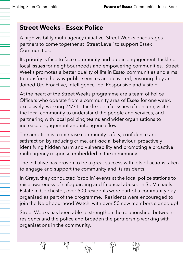#### **Street Weeks – Essex Police**

A high visibility multi-agency initiative, Street Weeks encourages partners to come together at 'Street Level' to support Essex Communities.

Its priority is face to face community and public engagement, tackling local issues for neighbourhoods and empowering communities. Street Weeks promotes a better quality of life in Essex communities and aims to transform the way public services are delivered, ensuring they are: Joined-Up, Proactive, Intelligence-led, Responsive and Visible.

At the heart of the Street Weeks programme are a team of Police Officers who operate from a community area of Essex for one week, exclusively, working 24/7 to tackle specific issues of concern, visiting the local community to understand the people and services, and partnering with local policing teams and wider organisations to increase engagement and intelligence flow.

The ambition is to increase community safety, confidence and satisfaction by reducing crime, anti-social behaviour, proactively identifying hidden harm and vulnerability and promoting a proactive multi-agency response embedded in the community.

The initiative has proven to be a great success with lots of actions taken to engage and support the community and its residents.

In Grays, they conducted 'drop in' events at the local police stations to raise awareness of safeguarding and financial abuse. In St. Michaels Estate in Colchester, over 500 residents were part of a community day organised as part of the programme. Residents were encouraged to join the Neighbourhood Watch, with over 50 new members signed up!

Street Weeks has been able to strengthen the relationships between residents and the police and broaden the partnership working with organisations in the community.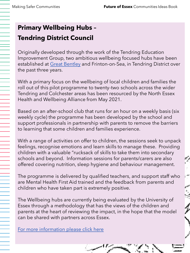## **Primary Wellbeing Hubs – Tendring District Council**

Originally developed through the work of the Tendring Education Improvement Group, two ambitious wellbeing focused hubs have been established at [Great Bentley](https://healthwatchessex.org.uk/2019/02/primary-school-uses-innovative-wellbeing-hub-to-help-pupils-with-mental-health/) and Frinton-on-Sea, in Tendring District over the past three years.

With a primary focus on the wellbeing of local children and families the roll out of this pilot programme to twenty-two schools across the wider Tendring and Colchester areas has been resourced by the North Essex Health and Wellbeing Alliance from May 2021.

Based on an after-school club that runs for an hour on a weekly basis (six weekly cycle) the programme has been developed by the school and support professionals in partnership with parents to remove the barriers to learning that some children and families experience.

With a range of activities on offer to children, the sessions seek to unpack feelings, recognise emotions and learn skills to manage these. Providing children with a valuable "rucksack of skills to take them into secondary schools and beyond. Information sessions for parents/carers are also offered covering nutrition, sleep hygiene and behaviour management.

The programme is delivered by qualified teachers, and support staff who are Mental Health First Aid trained and the feedback from parents and children who have taken part is extremely positive.

The Wellbeing hubs are currently being evaluated by the University of Essex through a methodology that has the views of the children and parents at the heart of reviewing the impact, in the hope that the model can be shared with partners across Essex.

[For more information please click here](https://www.youtube.com/watch?v=BhKb43e76dg&list=PLZKmYTi6Y7THZ--vSJ7wgpKvlM5fii1H2&index=12)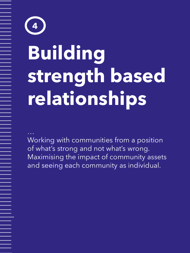# **Building strength based relationships 4**

Working with communities from a position of what's strong and not what's wrong. Maximising the impact of community assets and seeing each community as individual.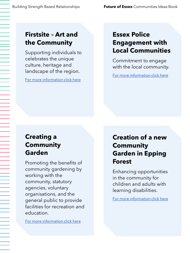#### **Firstsite – Art and the Community**

Supporting individuals to celebrates the unique culture, heritage and landscape of the region.

[For more information click here](https://firstsite.uk/about-firstsite/our-communities-2/)

#### **Essex Police Engagement with Local Communities**

Commitment to engage with the local community.

[For more information click here](https://cmis.essex.gov.uk/essexcmis5/Document.ashx?czJKcaeAi5tUFL1DTL2UE4zNRBcoShgo=cCEs%2FGHoAbK79Ze1%2FP2OEWEdeOv6urrFQrb0gLLz3FqV088llK1DxA%3D%3D&rUzwRPf%2BZ3zd4E7Ikn8Lyw%3D%3D=pwRE6AGJFLDNlh225F5QMaQWCtPHwdhUfCZ%2FLUQzgA2uL5jNRG4jdQ%3D%3D&mCTIbCubSFfXsDGW9IXnlg%3D%3D=hFflUdN3100%3D&kCx1AnS9%2FpWZQ40DXFvdEw%3D%3D=hFflUdN3100%3D&uJovDxwdjMPoYv%2BAJvYtyA%3D%3D=ctNJFf55vVA%3D&FgPlIEJYlotS%2BYGoBi5olA%3D%3D=NHdURQburHA%3D&d9Qjj0ag1Pd993jsyOJqFvmyB7X0CSQK=ctNJFf55vVA%3D&WGewmoAfeNR9xqBux0r1Q8Za60lavYmz=ctNJFf55vVA%3D&WGewmoAfeNQ16B2MHuCpMRKZMwaG1PaO=ctNJFf55vVA%3D)

#### **Creating a Community Garden**

Promoting the benefits of community gardening by working with the community, statutory agencies, voluntary organisations, and the general public to provide facilities for recreation and education.

[For more information click here](https://www.tendringdc.gov.uk/business/regeneration/jaywick/jaywick-neighbourhood-team/dig4jaywick-community-garden)

#### **Creation of a new Community Garden in Epping Forest**

Enhancing opportunities in the community for children and adults with learning disabilities.

[For more information click here](https://www.eppingforestguardian.co.uk/news/19493049.epping-forest-charity-opens-new-community-garden-chigwell/)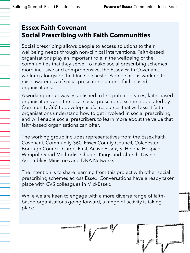#### **Essex Faith Covenant Social Prescribing with Faith Communities**

Social prescribing allows people to access solutions to their wellbeing needs through non-clinical interventions. Faith-based organisations play an important role in the wellbeing of the communities that they serve. To make social prescribing schemes more inclusive and comprehensive, the Essex Faith Covenant, working alongside the One Colchester Partnership, is working to raise awareness of social prescribing among faith-based organisations.

A working group was established to link public services, faith-based organisations and the local social prescribing scheme operated by Community 360 to develop useful resources that will assist faith organisations understand how to get involved in social prescribing and will enable social prescribers to learn more about the value that faith-based organisations can offer.

The working group includes representatives from the Essex Faith Covenant, Community 360, Essex County Council, Colchester Borough Council, Carers First, Active Essex, St Helena Hospice, Wimpole Road Methodist Church, Kingsland Church, Divine Assemblies Ministries and DNA Networks.

The intention is to share learning from this project with other social prescribing schemes across Essex. Conversations have already taken place with CVS colleagues in Mid-Essex.

While we are keen to engage with a more diverse range of faithbased organisations going forward, a range of activity is taking place.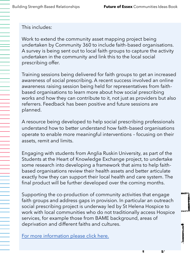This includes:

Work to extend the community asset mapping project being undertaken by Community 360 to include faith-based organisations. A survey is being sent out to local faith groups to capture the activity undertaken in the community and link this to the local social prescribing offer.

Training sessions being delivered for faith groups to get an increased awareness of social prescribing. A recent success involved an online awareness raising session being held for representatives from faithbased organisations to learn more about how social prescribing works and how they can contribute to it, not just as providers but also referrers. Feedback has been positive and future sessions are planned.

A resource being developed to help social prescribing professionals understand how to better understand how faith-based organisations operate to enable more meaningful interventions – focusing on their assets, remit and limits.

Engaging with students from Anglia Ruskin University, as part of the Students at the Heart of Knowledge Exchange project, to undertake some research into developing a framework that aims to help faithbased organisations review their health assets and better articulate exactly how they can support their local health and care system. The final product will be further developed over the coming months.

Supporting the co-production of community activities that engage faith groups and address gaps in provision. In particular an outreach social prescribing project is underway led by St Helena Hospice to work with local communities who do not traditionally access Hospice services, for example those from BAME background, areas of deprivation and different faiths and cultures.

[For more information please click here.](https://www.essexfuture.org.uk/delivering-our-vision/unite-behind-a-sense-of-identity/faith-network/)

V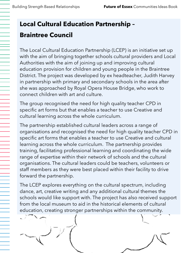## **Local Cultural Education Partnership – Braintree Council**

The Local Cultural Education Partnership (LCEP) is an initiative set up with the aim of bringing together schools cultural providers and Local Authorities with the aim of joining up and improving cultural education provision for children and young people in the Braintree District. The project was developed by ex headteacher, Judith Harvey in partnership with primary and secondary schools in the area after she was approached by Royal Opera House Bridge, who work to connect children with art and culture.

The group recognised the need for high quality teacher CPD in specific art forms but that enables a teacher to use Creative and cultural learning across the whole curriculum.

The partnership established cultural leaders across a range of organisations and recognised the need for high quality teacher CPD in specific art forms that enables a teacher to use Creative and cultural learning across the whole curriculum. The partnership provides training, facilitating professional learning and coordinating the wide range of expertise within their network of schools and the cultural organisations. The cultural leaders could be teachers, volunteers or staff members as they were best placed within their facility to drive forward the partnership.

The LCEP explores everything on the cultural spectrum, including dance, art, creative writing and any additional cultural themes the schools would like support with. The project has also received support from the local museum to aid in the historical elements of cultural education, creating stronger partnerships within the community.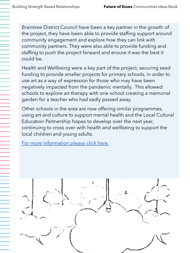Braintree District Council have been a key partner in the growth of the project, they have been able to provide staffing support around community engagement and explore how they can link with community partners. They were also able to provide funding and staffing to push the project forward and ensure it was the best it could be.

Health and Wellbeing were a key part of the project, securing seed funding to provide smaller projects for primary schools, in order to use art as a way of expression for those who may have been negatively impacted from the pandemic mentally. This allowed schools to explore art therapy with one school creating a memorial garden for a teacher who had sadly passed away.

Other schools in the area are now offering similar programmes, using art and culture to support mental health and the Local Cultural Education Partnership hopes to develop over the next year, continuing to cross over with health and wellbeing to support the local children and young adults.

[For more information please click here.](https://www.braintree.gov.uk/news/article/221/braintree-children-to-benefit-from-free-creative-materials)

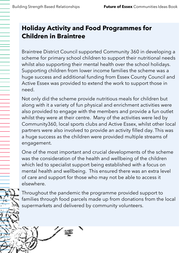### **Holiday Activity and Food Programmes for Children in Braintree**

Braintree District Council supported Community 360 in developing a scheme for primary school children to support their nutritional needs whilst also supporting their mental health over the school holidays. Supporting children from lower income families the scheme was a huge success and additional funding from Essex County Council and Active Essex was provided to extend the work to support those in need.

Not only did the scheme provide nutritious meals for children but along with it a variety of fun physical and enrichment activities were also provided to engage with the members and provide a fun outlet whilst they were at their centre. Many of the activities were led by Community360, local sports clubs and Active Essex, whilst other local partners were also involved to provide an activity filled day. This was a huge success as the children were provided multiple streams of engagement.

One of the most important and crucial developments of the scheme was the consideration of the health and wellbeing of the children which led to specialist support being established with a focus on mental health and wellbeing. This ensured there was an extra level of care and support for those who may not be able to access it elsewhere.

Throughout the pandemic the programme provided support to families through food parcels made up from donations from the local supermarkets and delivered by community volunteers.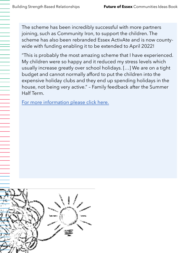The scheme has been incredibly successful with more partners joining, such as Community Iron, to support the children. The scheme has also been rebranded Essex ActivAte and is now countywide with funding enabling it to be extended to April 2022!

"This is probably the most amazing scheme that I have experienced. My children were so happy and it reduced my stress levels which usually increase greatly over school holidays. […] We are on a tight budget and cannot normally afford to put the children into the expensive holiday clubs and they end up spending holidays in the house, not being very active." – Family feedback after the Summer Half Term.

[For more information please click here.](https://www.activepartnerships.org/impact/holiday-activity-and-food-programmes)

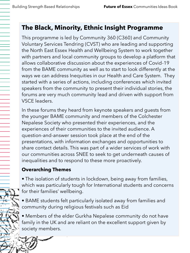#### **The Black, Minority, Ethnic Insight Programme**

This programme is led by Community 360 (C360) and Community Voluntary Services Tendring (CVST) who are leading and supporting the North East Essex Health and Wellbeing System to work together with partners and local community groups to develop a platform that allows collaborative discussion about the experiences of Covid-19 from the BAME community as well as to start to look differently at the ways we can address Inequities in our Health and Care System. They started with a series of actions, including conferences which invited speakers from the community to present their individual stories, the forums are very much community lead and driven with support from VSCE leaders.

In these forums they heard from keynote speakers and guests from the younger BAME community and members of the Colchester Nepalese Society who presented their experiences, and the experiences of their communities to the invited audience. A question-and-answer session took place at the end of the presentations, with information exchanges and opportunities to share contact details. This was part of a wider services of work with our communities across SNEE to seek to get underneath causes of inequalities and to respond to these more proactively.

#### **Overarching Themes**

• The isolation of students in lockdown, being away from families, which was particularly tough for International students and concerns for their families' wellbeing.

• BAME students felt particularly isolated away from families and community during religious festivals such as Eid

• Members of the elder Gurkha Nepalese community do not have family in the UK and are reliant on the excellent support given by society members.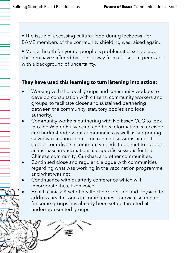• The issue of accessing cultural food during lockdown for BAME members of the community shielding was raised again.

• Mental health for young people is problematic: school age children have suffered by being away from classroom peers and with a background of uncertainty.

#### **They have used this learning to turn listening into action:**

- Working with the local groups and community workers to develop consultation with citizens, community workers and groups, to facilitate closer and sustained partnering between the community, statutory bodies and local authority.
- Community workers partnering with NE Essex CCG to look into the Winter Flu vaccine and how information is received and understood by our communities as well as supporting Covid vaccination centres on running sessions aimed to support our diverse community needs to be met to support an increase in vaccinations i.e. specific sessions for the Chinese community, Gurkhas, and other communities.
- Continued close and regular dialogue with communities regarding what was working in the vaccination programme and what was not
- Continuance with quarterly conference which will incorporate the citizen voice
- Health clinics: A set of health clinics, on-line and physical to address health issues in communities - Cervical screening for some groups has already been set up targeted at underrepresented groups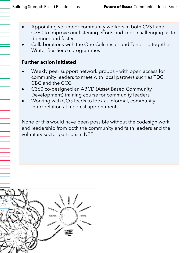- Appointing volunteer community workers in both CVST and C360 to improve our listening efforts and keep challenging us to do more and faster
- Collaborations with the One Colchester and Tendring together Winter Resilience programmes

#### **Further action initiated**

- Weekly peer support network groups with open access for community leaders to meet with local partners such as TDC, CBC and the CCG
- C360 co-designed an ABCD (Asset Based Community Development) training course for community leaders
- Working with CCG leads to look at informal, community interpretation at medical appointments

None of this would have been possible without the codesign work and leadership from both the community and faith leaders and the voluntary sector partners in NEE

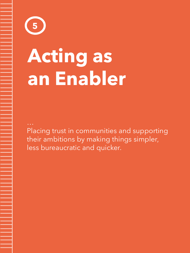# **Acting as an Enabler**

Placing trust in communities and supporting their ambitions by making things simpler, less bureaucratic and quicker.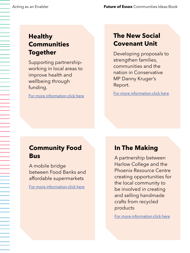#### **Healthy Communities Together**

Supporting partnershipworking in local areas to improve health and wellbeing through funding.

[For more information click here](https://www.kingsfund.org.uk/projects/healthy-communities-together?utm_source=The%20King%27s%20Fund%20newsletters%20%28main%20account%29&utm_medium=email&utm_campaign=12095058_PPA_HCT%20announcement%202021-01-14&utm_content=hct%20text%20link&dm_i=21A8,778LU,VO3UL6,T6CI9,1)

#### **The New Social Covenant Unit**

Developing proposals to strengthen families, communities and the nation in Conservative MP Danny Kruger's Report.

[For more information click here](https://www.dannykruger.org.uk/new-social-covenant)

#### **Community Food Bus**

A mobile bridge between Food Banks and affordable supermarkets

[For more information click here](https://feedingbritain.org/donations/wandsworth-community-food-bus/)

#### **In The Making**

A partnership between Harlow College and the Phoenix Resource Centre creating opportunities for the local community to be involved in creating and selling handmade crafts from recycled products

[For more information click here](https://www.facebook.com/InTheMakingHC/)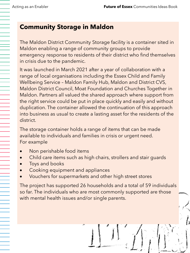#### **Community Storage in Maldon**

The Maldon District Community Storage facility is a container sited in Maldon enabling a range of community groups to provide emergency response to residents of their district who find themselves in crisis due to the pandemic.

It was launched in March 2021 after a year of collaboration with a range of local organisations including the Essex Child and Family Wellbeing Service – Maldon Family Hub, Maldon and District CVS, Maldon District Council, Moat Foundation and Churches Together in Maldon. Partners all valued the shared approach where support from the right service could be put in place quickly and easily and without duplication. The container allowed the continuation of this approach into business as usual to create a lasting asset for the residents of the district.

The storage container holds a range of items that can be made available to individuals and families in crisis or urgent need. For example

- Non perishable food items
- Child care items such as high chairs, strollers and stair guards
- Toys and books
- Cooking equipment and appliances
- Vouchers for supermarkets and other high street stores

The project has supported 26 households and a total of 59 individuals so far. The individuals who are most commonly supported are those with mental health issues and/or single parents.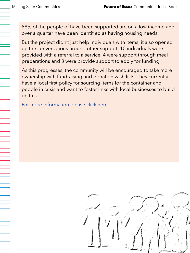88% of the people of have been supported are on a low income and over a quarter have been identified as having housing needs.

But the project didn't just help individuals with items, it also opened up the conversations around other support. 10 individuals were provided with a referral to a service, 4 were support through meal preparations and 3 were provide support to apply for funding.

As this progresses, the community will be encouraged to take more ownership with fundraising and donation wish lists. They currently have a local first policy for sourcing items for the container and people in crisis and want to foster links with local businesses to build on this.

[For more information please click here](https://www.maldoncvs.org.uk/community-storage/).

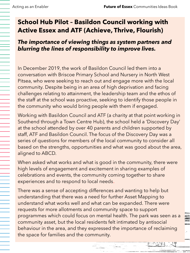#### **School Hub Pilot – Basildon Council working with Active Essex and ATF (Achieve, Thrive, Flourish)**

#### *The importance of viewing things as system partners and blurring the lines of responsibility to improve lives.*

In December 2019, the work of Basildon Council led them into a conversation with Briscoe Primary School and Nursery in North West Pitsea, who were seeking to reach out and engage more with the local community. Despite being in an area of high deprivation and facing challenges relating to attainment, the leadership team and the ethos of the staff at the school was proactive, seeking to identify those people in the community who would bring people with them if engaged.

Working with Basildon Council and ATF (a charity at that point working in Southend through a Town Centre Hub), the school held a 'Discovery Day' at the school attended by over 40 parents and children supported by staff, ATF and Basildon Council. The focus of the Discovery Day was a series of questions for members of the local community to consider all based on the strengths, opportunities and what was good about the area, aligned to ABCD.

When asked what works and what is good in the community, there were high levels of engagement and excitement in sharing examples of celebrations and events, the community coming together to share experiences and to respond to local needs.

There was a sense of accepting differences and wanting to help but understanding that there was a need for further Asset Mapping to understand what works well and what can be expanded. There were requests for more allotments and community space to support programmes which could focus on mental health. The park was seen as a community asset, but the local residents felt intimated by antisocial behaviour in the area, and they expressed the importance of reclaiming the space for families and the community.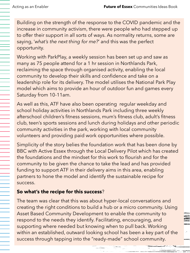Building on the strength of the response to the COVID pandemic and the increase in community activism, there were people who had stepped up to offer their support in all sorts of ways. As normality returns, some are saying, '*what's the next thing for me?*' and this was the perfect opportunity.

Working with ParkPlay, a weekly session has been set up and saw as many as 75 people attend for a 1 hr session in Northlands Park, reclaiming the space through organised activity, enabling the local community to develop their skills and confidence and take on a leadership role for its delivery. The model utilises the National Park Play model which aims to provide an hour of outdoor fun and games every Saturday from 10-11am.

As well as this, ATF have also been operating regular weekday and school holiday activities in Northlands Park including three weekly afterschool children's fitness sessions, mum's fitness club, adult's fitness club, teen's sports sessions and lunch during holidays and other periodic community activities in the park, working with local community volunteers and providing paid work opportunities where possible.

Simplicity of the story belies the foundation work that has been done by BBC with Active Essex through the Local Delivery Pilot which has created the foundations and the mindset for this work to flourish and for the community to be given the chance to take the lead and has provided funding to support ATF in their delivery aims in this area, enabling partners to hone the model and identify the sustainable recipe for success.

#### **So what's the recipe for this success**?

The team was clear that this was about hyper-local conversations and creating the right conditions to build a hub or a micro community. Using Asset Based Community Development to enable the community to respond to the needs they identify. Facilitating, encouraging, and supporting where needed but knowing when to pull back. Working within an established, outward looking school has been a key part of the success through tapping into the "ready-made" school community.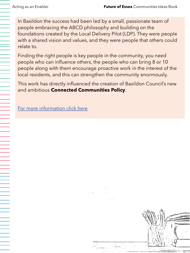In Basildon the success had been led by a small, passionate team of people embracing the ABCD philosophy and building on the foundations created by the Local Delivery Pilot (LDP). They were people with a shared vision and values, and they were people that others could relate to.

Finding the right people is key people in the community, you need people who can influence others, the people who can bring 8 or 10 people along with them encourage proactive work in the interest of the local residents, and this can strengthen the community enormously.

This work has directly influenced the creation of Basildon Council's new and ambitious **Connected Communities Policy**.

[For more information click here](https://www.basildon.gov.uk/media/10803/Connected-Communities-Policy-2021-2026/pdf/Connected_Communities_Policy.pdf?m=637710248100930000) 

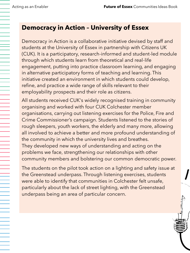#### **Democracy in Action – University of Essex**

Democracy in Action is a collaborative initiative devised by staff and students at the University of Essex in partnership with Citizens UK (CUK). It is a participatory, research-informed and student-led module through which students learn from theoretical and real-life engagement, putting into practice classroom learning, and engaging in alternative participatory forms of teaching and learning. This initiative created an environment in which students could develop, refine, and practice a wide range of skills relevant to their employability prospects and their role as citizens.

All students received CUK's widely recognised training in community organising and worked with four CUK Colchester member organisations, carrying out listening exercises for the Police, Fire and Crime Commissioner's campaign. Students listened to the stories of rough sleepers, youth workers, the elderly and many more, allowing all involved to achieve a better and more profound understanding of the community in which the university lives and breathes. They developed new ways of understanding and acting on the problems we face, strengthening our relationships with other community members and bolstering our common democratic power.

The students on the pilot took action on a lighting and safety issue at the Greenstead underpass. Through listening exercises, students were able to identify that communities in Colchester felt unsafe, particularly about the lack of street lighting, with the Greenstead underpass being an area of particular concern.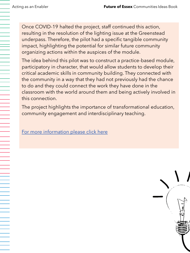Once COVID-19 halted the project, staff continued this action, resulting in the resolution of the lighting issue at the Greenstead underpass. Therefore, the pilot had a specific tangible community impact, highlighting the potential for similar future community organizing actions within the auspices of the module.

The idea behind this pilot was to construct a practice-based module, participatory in character, that would allow students to develop their critical academic skills in community building. They connected with the community in a way that they had not previously had the chance to do and they could connect the work they have done in the classroom with the world around them and being actively involved in this connection.

The project highlights the importance of transformational education, community engagement and interdisciplinary teaching.

[For more information please click here](https://www1.essex.ac.uk/modules/Default.aspx?coursecode=CS316)

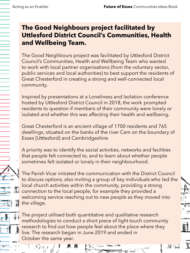#### **The Good Neighbours project facilitated by Uttlesford District Council's Communities, Health and Wellbeing Team.**

The Good Neighbours project was facilitated by Uttlesford District Council's Communities, Health and Wellbeing Team who wanted to work with local partner organisations (from the voluntary sector, public services and local authorities) to best support the residents of Great Chesterford in creating a strong and well-connected local community.

Inspired by presentations at a Loneliness and Isolation conference hosted by Uttlesford District Council in 2018, the work prompted residents to question if members of their community were lonely or isolated and whether this was affecting their health and wellbeing.

Great Chesterford is an ancient village of 1700 residents and 765 dwellings, situated on the banks of the river Cam on the boundary of Essex [Uttlesford] and Cambridgeshire.

A priority was to identify the social activities, networks and facilities that people felt connected to, and to learn about whether people sometimes felt isolated or lonely in their neighbourhood.

The Parish Vicar initiated the communication with the District Council to discuss options, also inviting a group of key individuals who led the local church activities within the community, providing a strong connection to the local people, for example they provided a welcoming service reaching out to new people as they moved into the village.

The project utilised both quantitative and qualitative research methodologies to conduct a short piece of light touch community research to find out how people feel about the place where they live. The research began in June 2019 and ended in October the same year.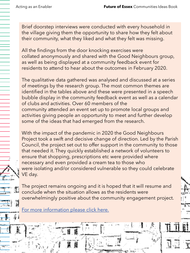Brief doorstep interviews were conducted with every household in the village giving them the opportunity to share how they felt about their community, what they liked and what they felt was missing.

All the findings from the door knocking exercises were collated anonymously and shared with the Good Neighbours group, as well as being displayed at a community feedback event for residents to attend to hear about the outcomes in February 2020.

The qualitative data gathered was analysed and discussed at a series of meetings by the research group. The most common themes are identified in the tables above and these were presented in a speech bubble display in the community feedback event as well as a calendar of clubs and activities. Over 60 members of the community attended an event set up to promote local groups and activities giving people an opportunity to meet and further develop some of the ideas that had emerged from the research.

With the impact of the pandemic in 2020 the Good Neighbours Project took a swift and decisive change of direction. Led by the Parish Council, the project set out to offer support in the community to those that needed it. They quickly established a network of volunteers to ensure that shopping, prescriptions etc were provided where necessary and even provided a cream tea to those who were isolating and/or considered vulnerable so they could celebrate VE day.

The project remains ongoing and it is hoped that it will resume and conclude when the situation allows as the residents were overwhelmingly positive about the community engagement project.

[For more information please click here.](https://www.lovegreatchesterford.com/good-neighbours)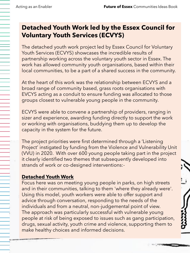#### **Detached Youth Work led by the Essex Council for Voluntary Youth Services (ECVYS)**

The detached youth work project led by Essex Council for Voluntary Youth Services (ECVYS) showcases the incredible results of partnership working across the voluntary youth sector in Essex. The work has allowed community youth organisations, based within their local communities, to be a part of a shared success in the community.

At the heart of this work was the relationship between ECVYS and a broad range of community based, grass roots organisations with EVCYS acting as a conduit to ensure funding was allocated to those groups closest to vulnerable young people in the community.

ECVYS were able to convene a partnership of providers, ranging in sizer and experience, awarding funding directly to support the work or working with organisations, buddying them up to develop the capacity in the system for the future.

The project priorities were first determined through a 'Listening Project' instigated by funding from the Violence and Vulnerability Unit (VVU) in 2020. With over 600 young people taking part in the project it clearly identified two themes that subsequently developed into strands of work or co-designed interventions:-

#### **Detached Youth Work**

Focus here was on meeting young people in parks, on high streets and in their communities, talking to them 'where they already were'. Using this model, youth workers were able to offer support and advice through conversation, responding to the needs of the individuals and from a neutral, non-judgemental point of view. The approach was particularly successful with vulnerable young people at risk of being exposed to issues such as gang participation, drugs, sexual activity, youth crime and violence, supporting them to make healthy choices and informed decisions.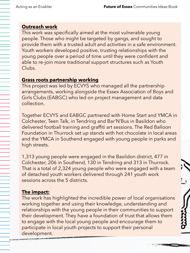#### **Outreach work**

This work was specifically aimed at the most vulnerable young people. Those who might be targeted by gangs, and sought to provide them with a trusted adult and activities in a safe environment. Youth workers developed positive, trusting relationships with the young people over a period of time until they were confident and able to re-join more traditional support structures such as Youth Clubs.

#### **Grass roots partnership working**

This project was led by ECVYS who managed all the partnership arrangements, working alongside the Essex Association of Boys and Girls Clubs (EABGC) who led on project management and data collection.

Together ECVYS and EABGC partnered with Home Start and YMCA in Colchester, Teen Talk, in Tendring and Bar'N'Bus in Basildon who delivered football training and graffiti art sessions. The Red Balloon Foundation in Thurrock set up stands with hot chocolate in local areas and the YMCA in Southend engaged with young people in parks and high streets.

1,313 young people were engaged in the Basildon district, 477 in Colchester, 206 in Southend, 130 in Tendring and 313 in Thurrock. That is a total of 2,324 young people who were engaged with a team of detached youth workers delivered through 241 youth work sessions across the 5 districts.

#### **The impact:**

The work has highlighted the incredible power of local organisations working together and using their knowledge, understanding and relationships with the young people in their communities to support their development. They have a foundation of trust that allows them to engage with the local young people and encourage them to participate in local youth projects to support their personal development.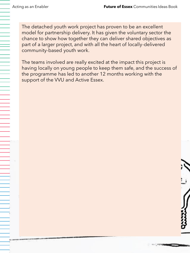The detached youth work project has proven to be an excellent model for partnership delivery. It has given the voluntary sector the chance to show how together they can deliver shared objectives as part of a larger project, and with all the heart of locally-delivered community-based youth work.

The teams involved are really excited at the impact this project is having locally on young people to keep them safe, and the success of the programme has led to another 12 months working with the support of the VVU and Active Essex.

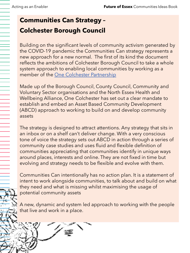## **Communities Can Strategy – Colchester Borough Council**

Building on the significant levels of community activism generated by the COVID-19 pandemic the Communities Can strategy represents a new approach for a new normal. The first of its kind the document reflects the ambitions of Colchester Borough Council to take a whole system approach to enabling local communities by working as a member of the [One Colchester Partnership](https://www.youtube.com/watch?v=w4yBdL7aKYE)

Made up of the Borough Council, County Council, Community and Voluntary Sector organisations and the North Essex Health and Wellbeing Alliance, One Colchester has set out a clear mandate to establish and embed an Asset Based Community Development (ABCD) approach to working to build on and develop community assets

The strategy is designed to attract attentions. Any strategy that sits in an inbox or on a shelf can't deliver change. With a very conscious tone of voice the strategy sets out ABCD in action through a series of community case studies and uses fluid and flexible definition of communities appreciating that communities identify in unique ways around places, interests and online. They are not fixed in time but evolving and strategy needs to be flexible and evolve with them.

Communities Can intentionally has no action plan. It is a statement of intent to work alongside communities, to talk about and build on what they need and what is missing whilst maximising the usage of potential community assets

A new, dynamic and system led approach to working with the people that live and work in a place.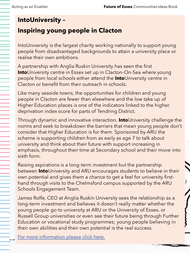#### **IntoUniversity –**

#### **Inspiring young people in Clacton**

IntoUniversity is the largest charity working nationally to support young people from disadvantaged backgrounds to attain a university place or realise their own ambitions.

A partnership with Anglia Ruskin University has seen the first **Into**University centre in Essex set up in Clacton-On-Sea where young people from local schools either attend the **Into**University centre in Clacton or benefit from their outreach in schools.

Like many seaside towns, the opportunities for children and young people in Clacton are fewer than elsewhere and the low take up of Higher Education places is one of the indicators linked to the higher deprivation index score for parts of Tendring District.

Through dynamic and innovative interaction, **Into**University challenge the norms and seek to breakdown the barriers that mean young people don't consider that Higher Education is for them. Sponsored by ARU the scheme is supporting children from as early as age 7 to talk about university and think about their future with support increasing in emphasis, throughout their time at Secondary school and their move into sixth form.

Raising aspirations is a long-term investment but the partnership between **Into**University and ARU encourages students to believe in their own potential and gives them a chance to get a feel for university firsthand through visits to the Chelmsford campus supported by the ARU Schools Engagement Team.

James Rolfe, CEO at Anglia Ruskin University sees the relationship as a long-term investment and believes it doesn't really matter whether the young people go to university at ARU or the University of Essex, or Russell Group universities or even see their future being through Further Education or vocational study programmes; young people believing in their own abilities and their own potential is the real success.

[For more information please click here.](https://intouniversity.org/)